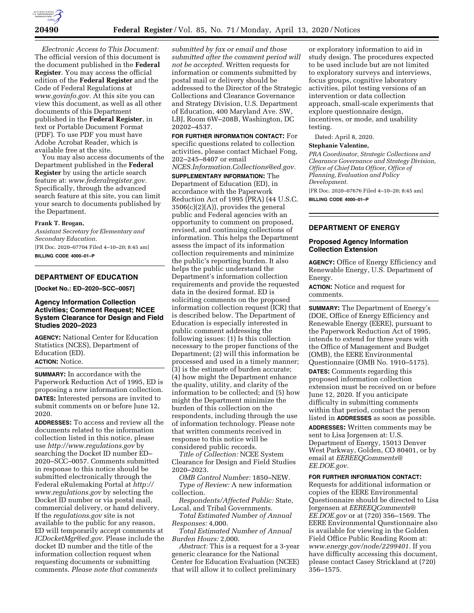

*Electronic Access to This Document:*  The official version of this document is the document published in the **Federal Register**. You may access the official edition of the **Federal Register** and the Code of Federal Regulations at *[www.govinfo.gov.](http://www.govinfo.gov)* At this site you can view this document, as well as all other documents of this Department published in the **Federal Register**, in text or Portable Document Format (PDF). To use PDF you must have Adobe Acrobat Reader, which is available free at the site.

You may also access documents of the Department published in the **Federal Register** by using the article search feature at: *[www.federalregister.gov.](http://www.federalregister.gov)*  Specifically, through the advanced search feature at this site, you can limit your search to documents published by the Department.

#### **Frank T. Brogan,**

*Assistant Secretary for Elementary and Secondary Education.*  [FR Doc. 2020–07704 Filed 4–10–20; 8:45 am]

# **BILLING CODE 4000–01–P**

## **DEPARTMENT OF EDUCATION**

**[Docket No.: ED–2020–SCC–0057]** 

#### **Agency Information Collection Activities; Comment Request; NCEE System Clearance for Design and Field Studies 2020–2023**

**AGENCY:** National Center for Education Statistics (NCES), Department of Education (ED). **ACTION:** Notice.

**SUMMARY:** In accordance with the Paperwork Reduction Act of 1995, ED is proposing a new information collection. **DATES:** Interested persons are invited to submit comments on or before June 12, 2020.

**ADDRESSES:** To access and review all the documents related to the information collection listed in this notice, please use *<http://www.regulations.gov>*by searching the Docket ID number ED– 2020–SCC–0057. Comments submitted in response to this notice should be submitted electronically through the Federal eRulemaking Portal at *[http://](http://www.regulations.gov) [www.regulations.gov](http://www.regulations.gov)* by selecting the Docket ID number or via postal mail, commercial delivery, or hand delivery. If the *regulations.gov* site is not available to the public for any reason, ED will temporarily accept comments at *[ICDocketMgr@ed.gov.](mailto:ICDocketMgr@ed.gov)* Please include the docket ID number and the title of the information collection request when requesting documents or submitting comments. *Please note that comments* 

*submitted by fax or email and those submitted after the comment period will not be accepted.* Written requests for information or comments submitted by postal mail or delivery should be addressed to the Director of the Strategic Collections and Clearance Governance and Strategy Division, U.S. Department of Education, 400 Maryland Ave. SW, LBJ, Room 6W–208B, Washington, DC 20202–4537.

**FOR FURTHER INFORMATION CONTACT:** For specific questions related to collection activities, please contact Michael Fong, 202–245–8407 or email

*[NCES.Information.Collections@ed.gov.](mailto:NCES.Information.Collections@ed.gov)* 

**SUPPLEMENTARY INFORMATION:** The Department of Education (ED), in accordance with the Paperwork Reduction Act of 1995 (PRA) (44 U.S.C. 3506(c)(2)(A)), provides the general public and Federal agencies with an opportunity to comment on proposed, revised, and continuing collections of information. This helps the Department assess the impact of its information collection requirements and minimize the public's reporting burden. It also helps the public understand the Department's information collection requirements and provide the requested data in the desired format. ED is soliciting comments on the proposed information collection request (ICR) that is described below. The Department of Education is especially interested in public comment addressing the following issues: (1) Is this collection necessary to the proper functions of the Department; (2) will this information be processed and used in a timely manner; (3) is the estimate of burden accurate; (4) how might the Department enhance the quality, utility, and clarity of the information to be collected; and (5) how might the Department minimize the burden of this collection on the respondents, including through the use of information technology. Please note that written comments received in response to this notice will be considered public records.

*Title of Collection:* NCEE System Clearance for Design and Field Studies 2020–2023.

*OMB Control Number:* 1850–NEW. *Type of Review:* A new information collection.

*Respondents/Affected Public:* State, Local, and Tribal Governments.

*Total Estimated Number of Annual Responses:* 4,000.

*Total Estimated Number of Annual Burden Hours:* 2,000.

*Abstract:* This is a request for a 3-year generic clearance for the National Center for Education Evaluation (NCEE) that will allow it to collect preliminary

or exploratory information to aid in study design. The procedures expected to be used include but are not limited to exploratory surveys and interviews, focus groups, cognitive laboratory activities, pilot testing versions of an intervention or data collection approach, small-scale experiments that explore questionnaire design, incentives, or mode, and usability testing.

Dated: April 8, 2020.

#### **Stephanie Valentine,**

*PRA Coordinator, Strategic Collections and Clearance Governance and Strategy Division, Office of Chief Data Officer, Office of Planning, Evaluation and Policy Development.* 

[FR Doc. 2020–07676 Filed 4–10–20; 8:45 am] **BILLING CODE 4000–01–P** 

#### **DEPARTMENT OF ENERGY**

#### **Proposed Agency Information Collection Extension**

**AGENCY:** Office of Energy Efficiency and Renewable Energy, U.S. Department of Energy.

**ACTION:** Notice and request for comments.

**SUMMARY:** The Department of Energy's (DOE, Office of Energy Efficiency and Renewable Energy (EERE), pursuant to the Paperwork Reduction Act of 1995, intends to extend for three years with the Office of Management and Budget (OMB), the EERE Environmental Questionnaire (OMB No. 1910–5175).

**DATES:** Comments regarding this proposed information collection extension must be received on or before June 12, 2020. If you anticipate difficulty in submitting comments within that period, contact the person listed in **ADDRESSES** as soon as possible.

**ADDRESSES:** Written comments may be sent to Lisa Jorgensen at: U.S. Department of Energy, 15013 Denver West Parkway, Golden, CO 80401, or by email at *[EEREEQComments@](mailto:EEREEQComments@EE.DOE.gov) [EE.DOE.gov.](mailto:EEREEQComments@EE.DOE.gov)* 

## **FOR FURTHER INFORMATION CONTACT:**

Requests for additional information or copies of the EERE Environmental Questionnaire should be directed to Lisa Jorgensen at *[EEREEQComments@](mailto:EEREEQComments@EE.DOE.gov) [EE.DOE.gov](mailto:EEREEQComments@EE.DOE.gov)* or at (720) 356–1569. The EERE Environmental Questionnaire also is available for viewing in the Golden Field Office Public Reading Room at: *[www.energy.gov/node/2299401.](http://www.energy.gov/node/2299401)* If you have difficulty accessing this document, please contact Casey Strickland at (720) 356–1575.